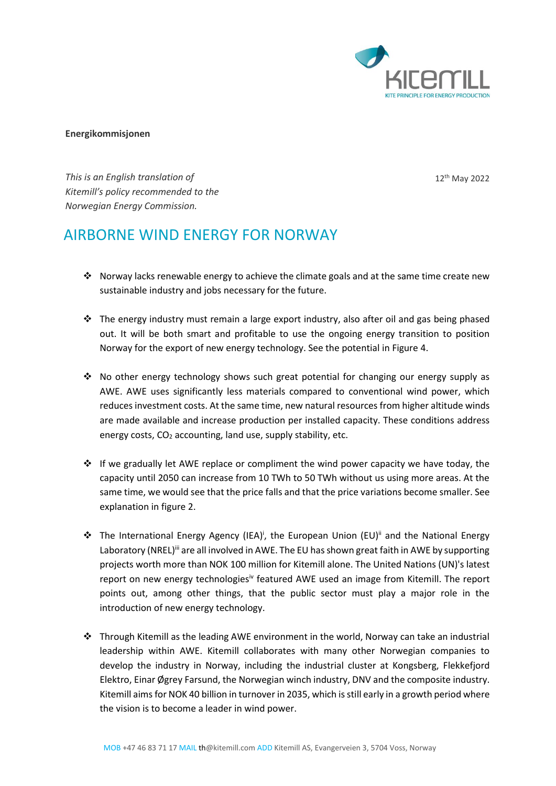

12 th May 2022

#### **Energikommisjonen**

Kitemill's policy recommended to the *This is an English translation of Norwegian Energy Commission.*

# AIRBORNE WIND ENERGY FOR NORWAY

- ❖ Norway lacks renewable energy to achieve the climate goals and at the same time create new sustainable industry and jobs necessary for the future.
- ❖ The energy industry must remain a large export industry, also after oil and gas being phased out. It will be both smart and profitable to use the ongoing energy transition to position Norway for the export of new energy technology. See the potential in Figure 4.
- ❖ No other energy technology shows such great potential for changing our energy supply as AWE. AWE uses significantly less materials compared to conventional wind power, which reduces investment costs. At the same time, new natural resources from higher altitude winds are made available and increase production per installed capacity. These conditions address energy costs,  $CO<sub>2</sub>$  accounting, land use, supply stability, etc.
- ❖ If we gradually let AWE replace or compliment the wind power capacity we have today, the capacity until 2050 can increase from 10 TWh to 50 TWh without us using more areas. At the same time, we would see that the price falls and that the price variations become smaller. See explanation in figure 2.
- ❖ The International Energy Agency (IEA)<sup>i</sup> , the European Union (EU)ii and the National Energy Laboratory (NREL)<sup>iii</sup> are all involved in AWE. The EU has shown great faith in AWE by supporting projects worth more than NOK 100 million for Kitemill alone. The United Nations (UN)'s latest report on new energy technologies<sup>iv</sup> featured AWE used an image from Kitemill. The report points out, among other things, that the public sector must play a major role in the introduction of new energy technology.
- ❖ Through Kitemill as the leading AWE environment in the world, Norway can take an industrial leadership within AWE. Kitemill collaborates with many other Norwegian companies to develop the industry in Norway, including the industrial cluster at Kongsberg, Flekkefjord Elektro, Einar Øgrey Farsund, the Norwegian winch industry, DNV and the composite industry. Kitemill aims for NOK 40 billion in turnover in 2035, which is still early in a growth period where the vision is to become a leader in wind power.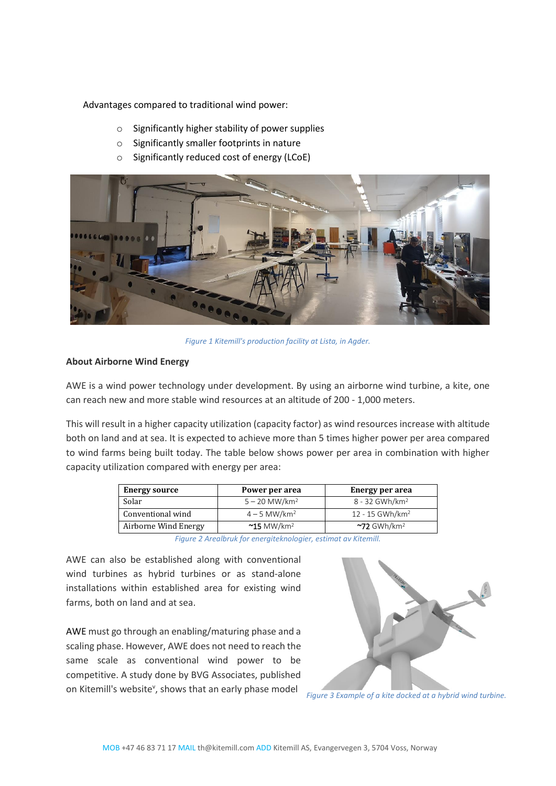Advantages compared to traditional wind power:

- o Significantly higher stability of power supplies
- o Significantly smaller footprints in nature
- o Significantly reduced cost of energy (LCoE)



*Figure 1 Kitemill's production facility at Lista, in Agder.*

# **About Airborne Wind Energy**

AWE is a wind power technology under development. By using an airborne wind turbine, a kite, one can reach new and more stable wind resources at an altitude of 200 - 1,000 meters.

This will result in a higher capacity utilization (capacity factor) as wind resources increase with altitude both on land and at sea. It is expected to achieve more than 5 times higher power per area compared to wind farms being built today. The table below shows power per area in combination with higher capacity utilization compared with energy per area:

| <b>Energy source</b> | Power per area                   | Energy per area               |
|----------------------|----------------------------------|-------------------------------|
| Solar                | $5 - 20$ MW/km <sup>2</sup>      | 8 - 32 GWh/km <sup>2</sup>    |
| Conventional wind    | $4 - 5$ MW/km <sup>2</sup>       | $12 - 15$ GWh/km <sup>2</sup> |
| Airborne Wind Energy | $~^{\sim}$ 15 MW/km <sup>2</sup> | $\sim$ 72 GWh/km <sup>2</sup> |

*Figure 2 Arealbruk for energiteknologier, estimat av Kitemill.* 

AWE can also be established along with conventional wind turbines as hybrid turbines or as stand-alone installations within established area for existing wind farms, both on land and at sea.

AWE must go through an enabling/maturing phase and a scaling phase. However, AWE does not need to reach the same scale as conventional wind power to be competitive. A study done by BVG Associates, published on Kitemill's website<sup>v</sup>, shows that an early phase model



*Figure 3 Example of a kite docked at a hybrid wind turbine.*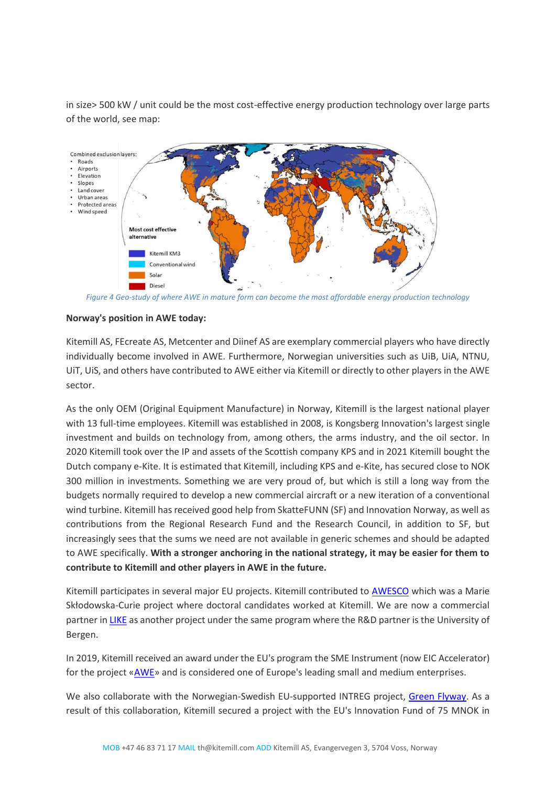in size> 500 kW / unit could be the most cost-effective energy production technology over large parts of the world, see map:



*Figure 4 Geo-study of where AWE in mature form can become the most affordable energy production technology*

## **Norway's position in AWE today:**

Kitemill AS, FEcreate AS, Metcenter and Diinef AS are exemplary commercial players who have directly individually become involved in AWE. Furthermore, Norwegian universities such as UiB, UiA, NTNU, UiT, UiS, and others have contributed to AWE either via Kitemill or directly to other players in the AWE sector.

As the only OEM (Original Equipment Manufacture) in Norway, Kitemill is the largest national player with 13 full-time employees. Kitemill was established in 2008, is Kongsberg Innovation's largest single investment and builds on technology from, among others, the arms industry, and the oil sector. In 2020 Kitemill took over the IP and assets of the Scottish company KPS and in 2021 Kitemill bought the Dutch company e-Kite. It is estimated that Kitemill, including KPS and e-Kite, has secured close to NOK 300 million in investments. Something we are very proud of, but which is still a long way from the budgets normally required to develop a new commercial aircraft or a new iteration of a conventional wind turbine. Kitemill has received good help from SkatteFUNN (SF) and Innovation Norway, as well as contributions from the Regional Research Fund and the Research Council, in addition to SF, but increasingly sees that the sums we need are not available in generic schemes and should be adapted to AWE specifically. **With a stronger anchoring in the national strategy, it may be easier for them to contribute to Kitemill and other players in AWE in the future.**

Kitemill participates in several major EU projects. Kitemill contributed to [AWESCO](https://cordis.europa.eu/project/id/642682) which was a Marie Skłodowska-Curie project where doctoral candidates worked at Kitemill. We are now a commercial partner i[n LIKE](https://cordis.europa.eu/project/id/858358) as another project under the same program where the R&D partner is the University of Bergen.

In 2019, Kitemill received an award under the EU's program the SME Instrument (now EIC Accelerator) for the project [«AWE»](https://cordis.europa.eu/project/id/881193?WT.mc_id=RSS-Feed&WT.rss_f=project&WT.rss_a=225349&WT.rss_ev=a) and is considered one of Europe's leading small and medium enterprises.

We also collaborate with the Norwegian-Swedish EU-supported INTREG project, [Green Flyway.](http://www.interreg-sverige-norge.com/?portfolio=green-flyway-2) As a result of this collaboration, Kitemill secured a project with the EU's Innovation Fund of 75 MNOK in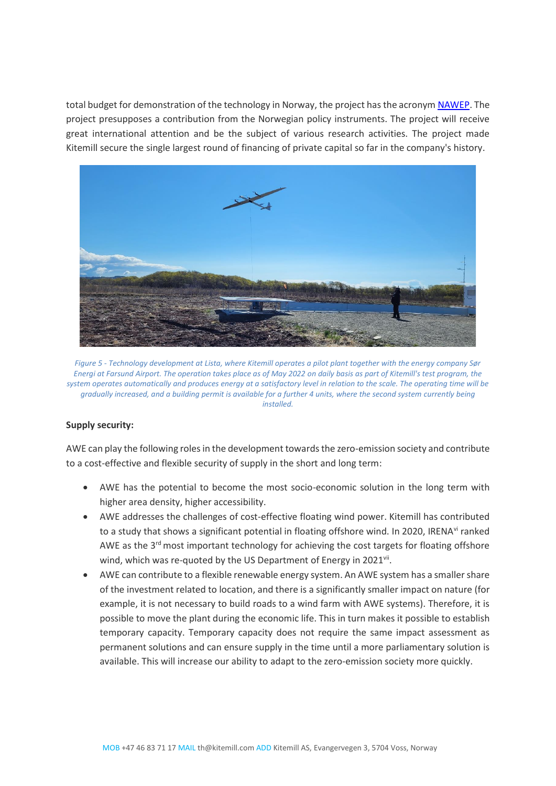total budget for demonstration of the technology in Norway, the project has the acrony[m NAWEP.](https://kitemill.com/article/143/EU_INNOVATION_FUND_AWARDS_3_35_MILLION_TO_KITEMILL/tags:5) The project presupposes a contribution from the Norwegian policy instruments. The project will receive great international attention and be the subject of various research activities. The project made Kitemill secure the single largest round of financing of private capital so far in the company's history.



*Figure 5 - Technology development at Lista, where Kitemill operates a pilot plant together with the energy company Sør Energi at Farsund Airport. The operation takes place as of May 2022 on daily basis as part of Kitemill's test program, the system operates automatically and produces energy at a satisfactory level in relation to the scale. The operating time will be gradually increased, and a building permit is available for a further 4 units, where the second system currently being installed.*

## **Supply security:**

AWE can play the following roles in the development towards the zero-emission society and contribute to a cost-effective and flexible security of supply in the short and long term:

- AWE has the potential to become the most socio-economic solution in the long term with higher area density, higher accessibility.
- AWE addresses the challenges of cost-effective floating wind power. Kitemill has contributed to a study that shows a significant potential in floating offshore wind. In 2020, IRENA<sup>vi</sup> ranked AWE as the 3<sup>rd</sup> most important technology for achieving the cost targets for floating offshore wind, which was re-quoted by the US Department of Energy in 2021vii.
- AWE can contribute to a flexible renewable energy system. An AWE system has a smaller share of the investment related to location, and there is a significantly smaller impact on nature (for example, it is not necessary to build roads to a wind farm with AWE systems). Therefore, it is possible to move the plant during the economic life. This in turn makes it possible to establish temporary capacity. Temporary capacity does not require the same impact assessment as permanent solutions and can ensure supply in the time until a more parliamentary solution is available. This will increase our ability to adapt to the zero-emission society more quickly.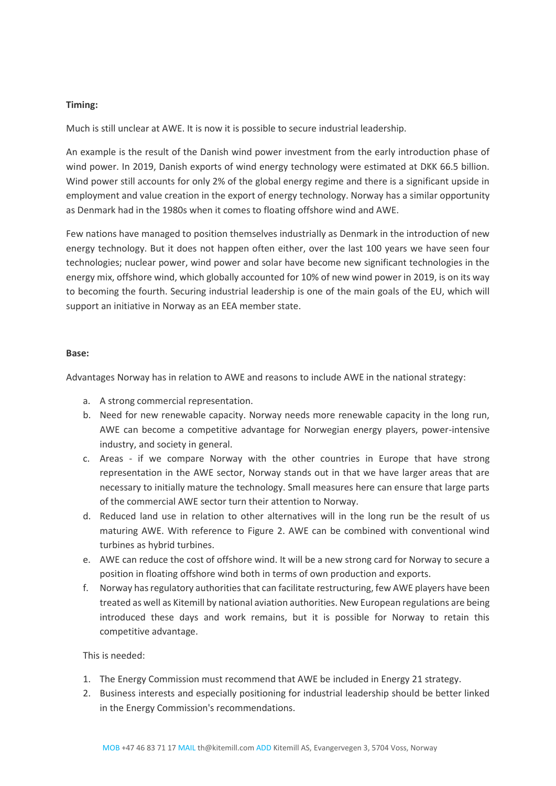## **Timing:**

Much is still unclear at AWE. It is now it is possible to secure industrial leadership.

An example is the result of the Danish wind power investment from the early introduction phase of wind power. In 2019, Danish exports of wind energy technology were estimated at DKK 66.5 billion. Wind power still accounts for only 2% of the global energy regime and there is a significant upside in employment and value creation in the export of energy technology. Norway has a similar opportunity as Denmark had in the 1980s when it comes to floating offshore wind and AWE.

Few nations have managed to position themselves industrially as Denmark in the introduction of new energy technology. But it does not happen often either, over the last 100 years we have seen four technologies; nuclear power, wind power and solar have become new significant technologies in the energy mix, offshore wind, which globally accounted for 10% of new wind power in 2019, is on its way to becoming the fourth. Securing industrial leadership is one of the main goals of the EU, which will support an initiative in Norway as an EEA member state.

#### **Base:**

Advantages Norway has in relation to AWE and reasons to include AWE in the national strategy:

- a. A strong commercial representation.
- b. Need for new renewable capacity. Norway needs more renewable capacity in the long run, AWE can become a competitive advantage for Norwegian energy players, power-intensive industry, and society in general.
- c. Areas if we compare Norway with the other countries in Europe that have strong representation in the AWE sector, Norway stands out in that we have larger areas that are necessary to initially mature the technology. Small measures here can ensure that large parts of the commercial AWE sector turn their attention to Norway.
- d. Reduced land use in relation to other alternatives will in the long run be the result of us maturing AWE. With reference to Figure 2. AWE can be combined with conventional wind turbines as hybrid turbines.
- e. AWE can reduce the cost of offshore wind. It will be a new strong card for Norway to secure a position in floating offshore wind both in terms of own production and exports.
- f. Norway has regulatory authorities that can facilitate restructuring, few AWE players have been treated as well as Kitemill by national aviation authorities. New European regulations are being introduced these days and work remains, but it is possible for Norway to retain this competitive advantage.

This is needed:

- 1. The Energy Commission must recommend that AWE be included in Energy 21 strategy.
- 2. Business interests and especially positioning for industrial leadership should be better linked in the Energy Commission's recommendations.